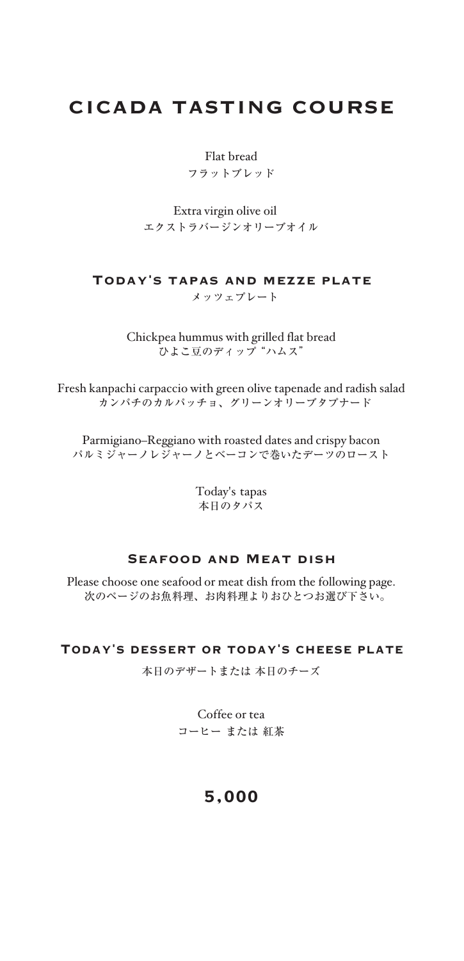# CICADA TASTING COURSE

Flat bread フラットブレッド

Extra virgin olive oil エクストラバージンオリーブオイル

#### Today's tapas and mezze plate メッツェプレート

Chickpea hummus with grilled flat bread <u>.</u><br>ひよこ豆のディップ "ハムス"

Fresh kanpachi carpaccio with green olive tapenade and radish salad カンパチのカルパッチョ、グリーンオリーブタプナード

Parmigiano–Reggiano with roasted dates and crispy bacon パルミジャーノレジャーノとベーコンで巻いたデーツのロースト

> Today's tapas 本日のタパス

#### Seafood and Meat dish

Please choose one seafood or meat dish from the following page. 次のページのお魚料理、お肉料理よりおひとつお選び下さい。

#### Today's dessert or today's cheese plate

本日のデザートまたは 本日のチーズ

Coffee or tea コーヒー または 紅茶

### 5,000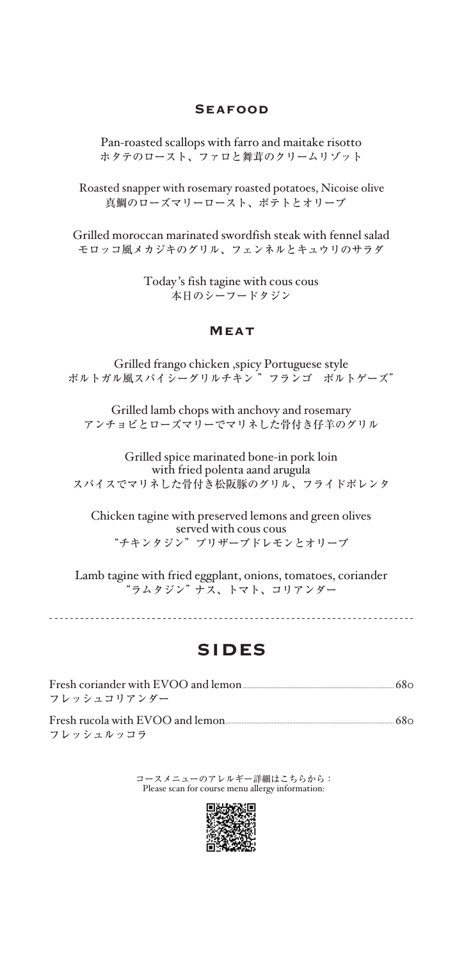### **SEAFOOD**

Pan-roasted scallops with farro and maitake risotto ホタテのロースト、ファロと舞茸のクリームリゾット

Roasted snapper with rosemary roasted potatoes, Nicoise olive 真鯛のローズマリーロースト、ポテトとオリーブ

Grilled moroccan marinated swordfish steak with fennel salad モロッコ風メカジキのグリル、フェンネルとキュウリのサラダ

> Today 's fish tagine with cous cous 本日のシーフードタジン

#### MEAT

Grilled frango chicken ,spicy Portuguese style ポルトガル風スパイシーグリルチキン "フランゴ ポルトゲーズ"

Grilled lamb chops with anchovy and rosemary アンチョビとローズマリーでマリネした骨付き仔羊のグリル

Grilled spice marinated bone-in pork loin with fried polenta aand arugula スパイスでマリネした骨付き松阪豚のグリル、フライドポレンタ

Chicken tagine with preserved lemons and green olives served with cous cous "チキンタジン"プリザーブドレモンとオリーブ

Lamb tagine with fried eggplant, onions, tomatoes, coriander "ラムタジン" ナス、トマト、コリアンダー

## SIDES

| Fresh coriander with EVOO and lemon |  |
|-------------------------------------|--|
| フレッシュコリアンダー                         |  |
| Fresh rucola with EVOO and lemon    |  |
| フレッシュルッコラ                           |  |

コースメニューのアレルギー詳細はこちらから: Please scan for course menu allergy information:

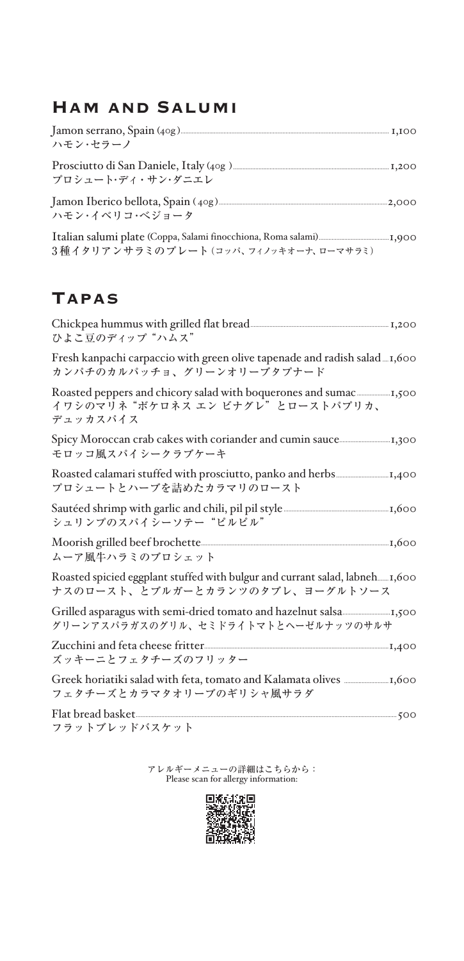# Ham and Salumi

| ハモン・セラーノ                                                                                                                        |  |
|---------------------------------------------------------------------------------------------------------------------------------|--|
| プロシュート・ディ・サン・ダニエレ                                                                                                               |  |
| Jamon Iberico bellota, Spain (40g) [100] [2000] [2000] [2000] [2000] [3000] [3000] [3000] [3000] [3000] [3000<br>ハモン・イベリコ・ベジョータ |  |
| 3種イタリアンサラミのプレート(コッパ、フィノッキオーナ、ローマサラミ)                                                                                            |  |

# **TAPAS**

| ひよこ豆のディップ"ハムス"                                                                                                  |
|-----------------------------------------------------------------------------------------------------------------|
| Fresh kanpachi carpaccio with green olive tapenade and radish salad<br>カンパチのカルパッチョ、グリーンオリーブタプナード                |
| イワシのマリネ "ボケロネス エン ビナグレ"とローストパプリカ、<br>デュッカスパイス                                                                   |
| モロッコ風スパイシークラブケーキ                                                                                                |
| プロシュートとハーブを詰めたカラマリのロースト                                                                                         |
| シュリンプのスパイシーソテー"ピルピル"                                                                                            |
| ムーア風牛ハラミのブロシェット                                                                                                 |
| Roasted spicied eggplant stuffed with bulgur and currant salad, labneh 1,600<br>ナスのロースト、とブルガーとカランツのタブレ、ヨーグルトソース |
| グリーンアスパラガスのグリル、セミドライトマトとヘーゼルナッツのサルサ                                                                             |
| ズッキーニとフェタチーズのフリッター                                                                                              |
| フェタチーズとカラマタオリーブのギリシャ風サラダ                                                                                        |
|                                                                                                                 |

アレルギーメニューの詳細はこちらから: Please scan for allergy information: